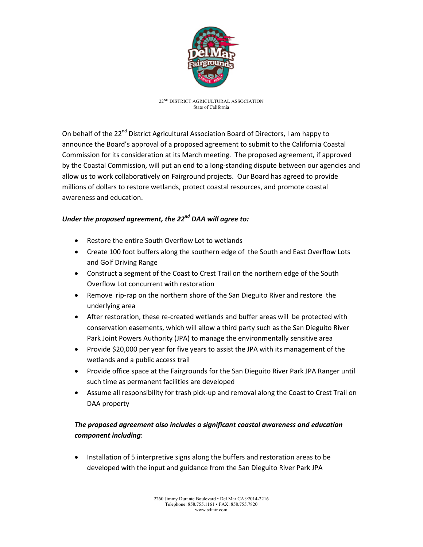

22ND DISTRICT AGRICULTURAL ASSOCIATION State of California

On behalf of the 22<sup>nd</sup> District Agricultural Association Board of Directors, I am happy to announce the Board's approval of a proposed agreement to submit to the California Coastal Commission for its consideration at its March meeting. The proposed agreement, if approved by the Coastal Commission, will put an end to a long-standing dispute between our agencies and allow us to work collaboratively on Fairground projects. Our Board has agreed to provide millions of dollars to restore wetlands, protect coastal resources, and promote coastal awareness and education.

## *Under the proposed agreement, the 22nd DAA will agree to:*

- Restore the entire South Overflow Lot to wetlands
- Create 100 foot buffers along the southern edge of the South and East Overflow Lots and Golf Driving Range
- Construct a segment of the Coast to Crest Trail on the northern edge of the South Overflow Lot concurrent with restoration
- Remove rip-rap on the northern shore of the San Dieguito River and restore the underlying area
- After restoration, these re-created wetlands and buffer areas will be protected with conservation easements, which will allow a third party such as the San Dieguito River Park Joint Powers Authority (JPA) to manage the environmentally sensitive area
- Provide \$20,000 per year for five years to assist the JPA with its management of the wetlands and a public access trail
- Provide office space at the Fairgrounds for the San Dieguito River Park JPA Ranger until such time as permanent facilities are developed
- Assume all responsibility for trash pick-up and removal along the Coast to Crest Trail on DAA property

# *The proposed agreement also includes a significant coastal awareness and education component including*:

• Installation of 5 interpretive signs along the buffers and restoration areas to be developed with the input and guidance from the San Dieguito River Park JPA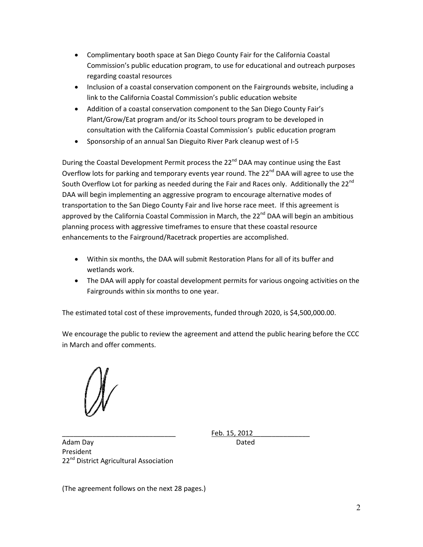- Complimentary booth space at San Diego County Fair for the California Coastal Commission's public education program, to use for educational and outreach purposes regarding coastal resources
- Inclusion of a coastal conservation component on the Fairgrounds website, including a link to the California Coastal Commission's public education website
- Addition of a coastal conservation component to the San Diego County Fair's Plant/Grow/Eat program and/or its School tours program to be developed in consultation with the California Coastal Commission's public education program
- Sponsorship of an annual San Dieguito River Park cleanup west of I-5

During the Coastal Development Permit process the 22<sup>nd</sup> DAA may continue using the East Overflow lots for parking and temporary events year round. The 22<sup>nd</sup> DAA will agree to use the South Overflow Lot for parking as needed during the Fair and Races only. Additionally the 22<sup>nd</sup> DAA will begin implementing an aggressive program to encourage alternative modes of transportation to the San Diego County Fair and live horse race meet. If this agreement is approved by the California Coastal Commission in March, the  $22^{nd}$  DAA will begin an ambitious planning process with aggressive timeframes to ensure that these coastal resource enhancements to the Fairground/Racetrack properties are accomplished.

- Within six months, the DAA will submit Restoration Plans for all of its buffer and wetlands work.
- The DAA will apply for coastal development permits for various ongoing activities on the Fairgrounds within six months to one year.

The estimated total cost of these improvements, funded through 2020, is \$4,500,000.00.

We encourage the public to review the agreement and attend the public hearing before the CCC in March and offer comments.

\_\_\_\_\_\_\_\_\_\_\_\_\_\_\_\_\_\_\_\_\_\_\_\_\_\_\_\_\_\_ Feb. 15, 2012\_\_\_\_\_\_\_\_\_\_\_\_\_\_\_

Adam Day **Dated** President 22<sup>nd</sup> District Agricultural Association

(The agreement follows on the next 28 pages.)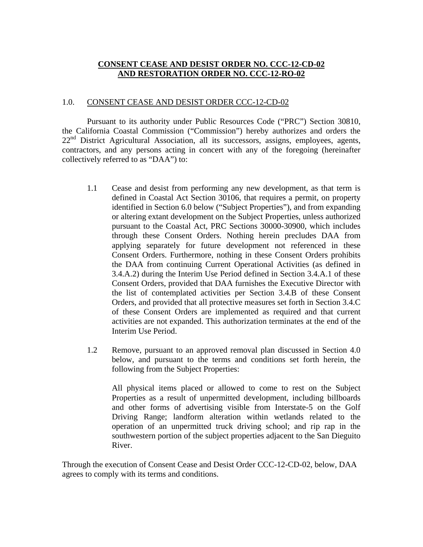# **CONSENT CEASE AND DESIST ORDER NO. CCC-12-CD-02 AND RESTORATION ORDER NO. CCC-12-RO-02**

## 1.0. CONSENT CEASE AND DESIST ORDER CCC-12-CD-02

Pursuant to its authority under Public Resources Code ("PRC") Section 30810, the California Coastal Commission ("Commission") hereby authorizes and orders the  $22<sup>nd</sup>$  District Agricultural Association, all its successors, assigns, employees, agents, contractors, and any persons acting in concert with any of the foregoing (hereinafter collectively referred to as "DAA") to:

- 1.1 Cease and desist from performing any new development, as that term is defined in Coastal Act Section 30106, that requires a permit, on property identified in Section 6.0 below ("Subject Properties"), and from expanding or altering extant development on the Subject Properties, unless authorized pursuant to the Coastal Act, PRC Sections 30000-30900, which includes through these Consent Orders. Nothing herein precludes DAA from applying separately for future development not referenced in these Consent Orders. Furthermore, nothing in these Consent Orders prohibits the DAA from continuing Current Operational Activities (as defined in 3.4.A.2) during the Interim Use Period defined in Section 3.4.A.1 of these Consent Orders, provided that DAA furnishes the Executive Director with the list of contemplated activities per Section 3.4.B of these Consent Orders, and provided that all protective measures set forth in Section 3.4.C of these Consent Orders are implemented as required and that current activities are not expanded. This authorization terminates at the end of the Interim Use Period.
- 1.2 Remove, pursuant to an approved removal plan discussed in Section 4.0 below, and pursuant to the terms and conditions set forth herein, the following from the Subject Properties:

All physical items placed or allowed to come to rest on the Subject Properties as a result of unpermitted development, including billboards and other forms of advertising visible from Interstate-5 on the Golf Driving Range; landform alteration within wetlands related to the operation of an unpermitted truck driving school; and rip rap in the southwestern portion of the subject properties adjacent to the San Dieguito River.

Through the execution of Consent Cease and Desist Order CCC-12-CD-02, below, DAA agrees to comply with its terms and conditions.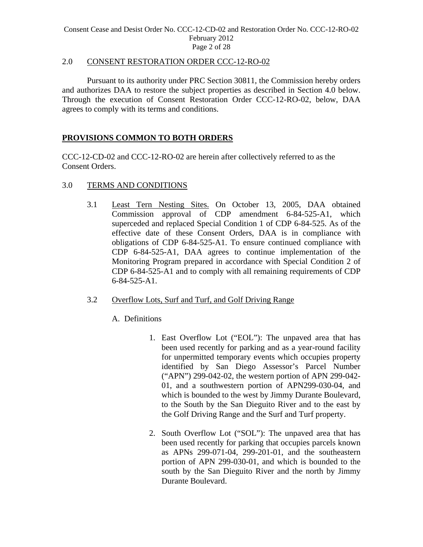## 2.0CONSENT RESTORATION ORDER CCC-12-RO-02

Pursuant to its authority under PRC Section 30811, the Commission hereby orders and authorizes DAA to restore the subject properties as described in Section 4.0 below. Through the execution of Consent Restoration Order CCC-12-RO-02, below, DAA agrees to comply with its terms and conditions.

# **PROVISIONS COMMON TO BOTH ORDERS**

CCC-12-CD-02 and CCC-12-RO-02 are herein after collectively referred to as the Consent Orders.

# 3.0 TERMS AND CONDITIONS

3.1 Least Tern Nesting Sites. On October 13, 2005, DAA obtained Commission approval of CDP amendment 6-84-525-A1, which superceded and replaced Special Condition 1 of CDP 6-84-525. As of the effective date of these Consent Orders, DAA is in compliance with obligations of CDP 6-84-525-A1. To ensure continued compliance with CDP 6-84-525-A1, DAA agrees to continue implementation of the Monitoring Program prepared in accordance with Special Condition 2 of CDP 6-84-525-A1 and to comply with all remaining requirements of CDP 6-84-525-A1.

# 3.2 Overflow Lots, Surf and Turf, and Golf Driving Range

# A. Definitions

- 1. East Overflow Lot ("EOL"): The unpaved area that has been used recently for parking and as a year-round facility for unpermitted temporary events which occupies property identified by San Diego Assessor's Parcel Number ("APN") 299-042-02, the western portion of APN 299-042- 01, and a southwestern portion of APN299-030-04, and which is bounded to the west by Jimmy Durante Boulevard, to the South by the San Dieguito River and to the east by the Golf Driving Range and the Surf and Turf property.
- 2. South Overflow Lot ("SOL"): The unpaved area that has been used recently for parking that occupies parcels known as APNs 299-071-04, 299-201-01, and the southeastern portion of APN 299-030-01, and which is bounded to the south by the San Dieguito River and the north by Jimmy Durante Boulevard.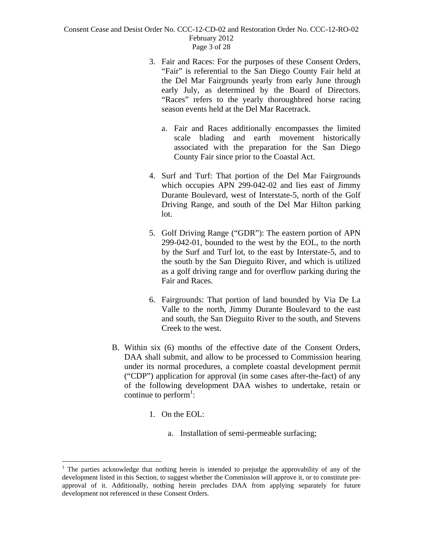- 3. Fair and Races: For the purposes of these Consent Orders, "Fair" is referential to the San Diego County Fair held at the Del Mar Fairgrounds yearly from early June through early July, as determined by the Board of Directors. "Races" refers to the yearly thoroughbred horse racing season events held at the Del Mar Racetrack.
	- a. Fair and Races additionally encompasses the limited scale blading and earth movement historically associated with the preparation for the San Diego County Fair since prior to the Coastal Act.
- 4. Surf and Turf: That portion of the Del Mar Fairgrounds which occupies APN 299-042-02 and lies east of Jimmy Durante Boulevard, west of Interstate-5, north of the Golf Driving Range, and south of the Del Mar Hilton parking lot.
- 5. Golf Driving Range ("GDR"): The eastern portion of APN 299-042-01, bounded to the west by the EOL, to the north by the Surf and Turf lot, to the east by Interstate-5, and to the south by the San Dieguito River, and which is utilized as a golf driving range and for overflow parking during the Fair and Races.
- 6. Fairgrounds: That portion of land bounded by Via De La Valle to the north, Jimmy Durante Boulevard to the east and south, the San Dieguito River to the south, and Stevens Creek to the west.
- B. Within six (6) months of the effective date of the Consent Orders, DAA shall submit, and allow to be processed to Commission hearing under its normal procedures, a complete coastal development permit ("CDP") application for approval (in some cases after-the-fact) of any of the following development DAA wishes to undertake, retain or continue to perform<sup>1</sup>:
	- 1. On the EOL:

 $\overline{a}$ 

a. Installation of semi-permeable surfacing;

<sup>&</sup>lt;sup>1</sup> The parties acknowledge that nothing herein is intended to prejudge the approvability of any of the development listed in this Section, to suggest whether the Commission will approve it, or to constitute preapproval of it. Additionally, nothing herein precludes DAA from applying separately for future development not referenced in these Consent Orders.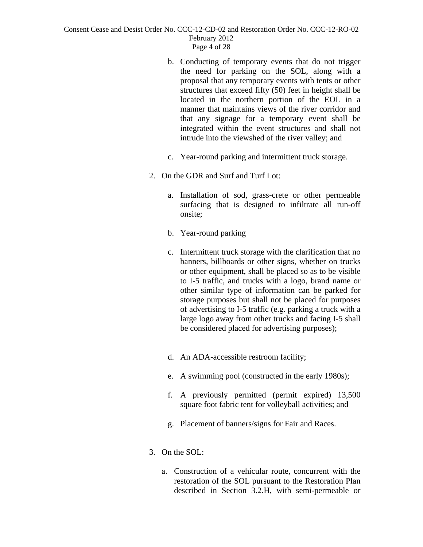- b. Conducting of temporary events that do not trigger the need for parking on the SOL, along with a proposal that any temporary events with tents or other structures that exceed fifty (50) feet in height shall be located in the northern portion of the EOL in a manner that maintains views of the river corridor and that any signage for a temporary event shall be integrated within the event structures and shall not intrude into the viewshed of the river valley; and
- c. Year-round parking and intermittent truck storage.
- 2. On the GDR and Surf and Turf Lot:
	- a. Installation of sod, grass-crete or other permeable surfacing that is designed to infiltrate all run-off onsite;
	- b. Year-round parking
	- c. Intermittent truck storage with the clarification that no banners, billboards or other signs, whether on trucks or other equipment, shall be placed so as to be visible to I-5 traffic, and trucks with a logo, brand name or other similar type of information can be parked for storage purposes but shall not be placed for purposes of advertising to I-5 traffic (e.g. parking a truck with a large logo away from other trucks and facing I-5 shall be considered placed for advertising purposes);
	- d. An ADA-accessible restroom facility;
	- e. A swimming pool (constructed in the early 1980s);
	- f. A previously permitted (permit expired) 13,500 square foot fabric tent for volleyball activities; and
	- g. Placement of banners/signs for Fair and Races.
- 3. On the SOL:
	- a. Construction of a vehicular route, concurrent with the restoration of the SOL pursuant to the Restoration Plan described in Section 3.2.H, with semi-permeable or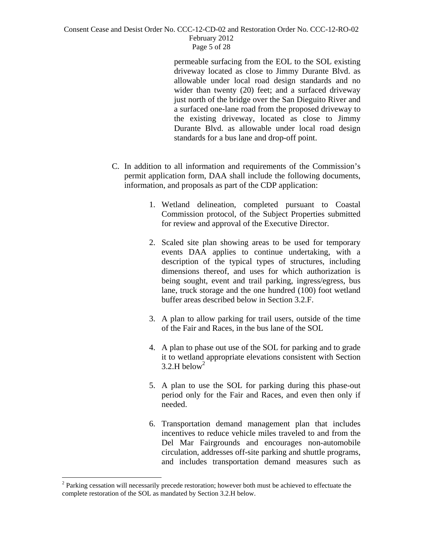permeable surfacing from the EOL to the SOL existing driveway located as close to Jimmy Durante Blvd. as allowable under local road design standards and no wider than twenty (20) feet; and a surfaced driveway just north of the bridge over the San Dieguito River and a surfaced one-lane road from the proposed driveway to the existing driveway, located as close to Jimmy Durante Blvd. as allowable under local road design standards for a bus lane and drop-off point.

- C. In addition to all information and requirements of the Commission's permit application form, DAA shall include the following documents, information, and proposals as part of the CDP application:
	- 1. Wetland delineation, completed pursuant to Coastal Commission protocol, of the Subject Properties submitted for review and approval of the Executive Director.
	- 2. Scaled site plan showing areas to be used for temporary events DAA applies to continue undertaking, with a description of the typical types of structures, including dimensions thereof, and uses for which authorization is being sought, event and trail parking, ingress/egress, bus lane, truck storage and the one hundred (100) foot wetland buffer areas described below in Section 3.2.F.
	- 3. A plan to allow parking for trail users, outside of the time of the Fair and Races, in the bus lane of the SOL
	- 4. A plan to phase out use of the SOL for parking and to grade it to wetland appropriate elevations consistent with Section  $3.2$ .H below<sup>2</sup>
	- 5. A plan to use the SOL for parking during this phase-out period only for the Fair and Races, and even then only if needed.
	- 6. Transportation demand management plan that includes incentives to reduce vehicle miles traveled to and from the Del Mar Fairgrounds and encourages non-automobile circulation, addresses off-site parking and shuttle programs, and includes transportation demand measures such as

 $\overline{a}$ 

 $2$  Parking cessation will necessarily precede restoration; however both must be achieved to effectuate the complete restoration of the SOL as mandated by Section 3.2.H below.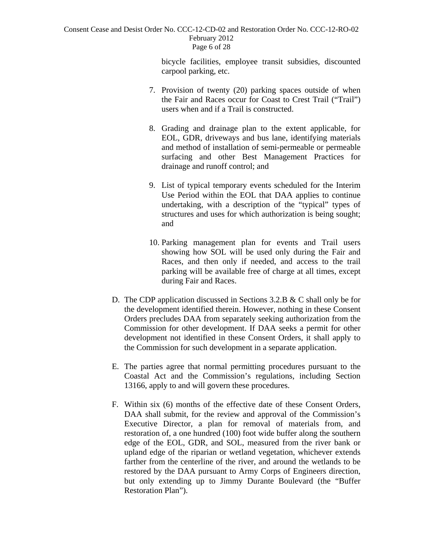#### Consent Cease and Desist Order No. CCC-12-CD-02 and Restoration Order No. CCC-12-RO-02 February 2012 Page 6 of 28

bicycle facilities, employee transit subsidies, discounted carpool parking, etc.

- 7. Provision of twenty (20) parking spaces outside of when the Fair and Races occur for Coast to Crest Trail ("Trail") users when and if a Trail is constructed.
- 8. Grading and drainage plan to the extent applicable, for EOL, GDR, driveways and bus lane, identifying materials and method of installation of semi-permeable or permeable surfacing and other Best Management Practices for drainage and runoff control; and
- 9. List of typical temporary events scheduled for the Interim Use Period within the EOL that DAA applies to continue undertaking, with a description of the "typical" types of structures and uses for which authorization is being sought; and
- 10. Parking management plan for events and Trail users showing how SOL will be used only during the Fair and Races, and then only if needed, and access to the trail parking will be available free of charge at all times, except during Fair and Races.
- D. The CDP application discussed in Sections 3.2.B & C shall only be for the development identified therein. However, nothing in these Consent Orders precludes DAA from separately seeking authorization from the Commission for other development. If DAA seeks a permit for other development not identified in these Consent Orders, it shall apply to the Commission for such development in a separate application.
- E. The parties agree that normal permitting procedures pursuant to the Coastal Act and the Commission's regulations, including Section 13166, apply to and will govern these procedures.
- F. Within six (6) months of the effective date of these Consent Orders, DAA shall submit, for the review and approval of the Commission's Executive Director, a plan for removal of materials from, and restoration of, a one hundred (100) foot wide buffer along the southern edge of the EOL, GDR, and SOL, measured from the river bank or upland edge of the riparian or wetland vegetation, whichever extends farther from the centerline of the river, and around the wetlands to be restored by the DAA pursuant to Army Corps of Engineers direction, but only extending up to Jimmy Durante Boulevard (the "Buffer Restoration Plan").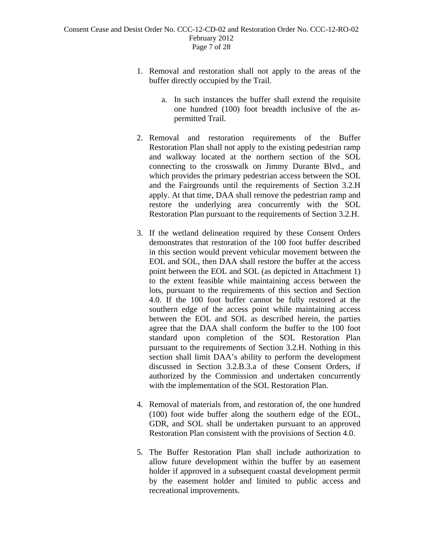- 1. Removal and restoration shall not apply to the areas of the buffer directly occupied by the Trail.
	- a. In such instances the buffer shall extend the requisite one hundred (100) foot breadth inclusive of the aspermitted Trail.
- 2. Removal and restoration requirements of the Buffer Restoration Plan shall not apply to the existing pedestrian ramp and walkway located at the northern section of the SOL connecting to the crosswalk on Jimmy Durante Blvd., and which provides the primary pedestrian access between the SOL and the Fairgrounds until the requirements of Section 3.2.H apply. At that time, DAA shall remove the pedestrian ramp and restore the underlying area concurrently with the SOL Restoration Plan pursuant to the requirements of Section 3.2.H.
- 3. If the wetland delineation required by these Consent Orders demonstrates that restoration of the 100 foot buffer described in this section would prevent vehicular movement between the EOL and SOL, then DAA shall restore the buffer at the access point between the EOL and SOL (as depicted in Attachment 1) to the extent feasible while maintaining access between the lots, pursuant to the requirements of this section and Section 4.0. If the 100 foot buffer cannot be fully restored at the southern edge of the access point while maintaining access between the EOL and SOL as described herein, the parties agree that the DAA shall conform the buffer to the 100 foot standard upon completion of the SOL Restoration Plan pursuant to the requirements of Section 3.2.H. Nothing in this section shall limit DAA's ability to perform the development discussed in Section 3.2.B.3.a of these Consent Orders, if authorized by the Commission and undertaken concurrently with the implementation of the SOL Restoration Plan.
- 4. Removal of materials from, and restoration of, the one hundred (100) foot wide buffer along the southern edge of the EOL, GDR, and SOL shall be undertaken pursuant to an approved Restoration Plan consistent with the provisions of Section 4.0.
- 5. The Buffer Restoration Plan shall include authorization to allow future development within the buffer by an easement holder if approved in a subsequent coastal development permit by the easement holder and limited to public access and recreational improvements.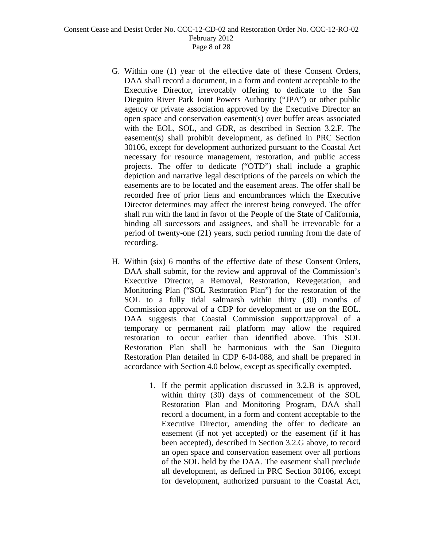- G. Within one (1) year of the effective date of these Consent Orders, DAA shall record a document, in a form and content acceptable to the Executive Director, irrevocably offering to dedicate to the San Dieguito River Park Joint Powers Authority ("JPA") or other public agency or private association approved by the Executive Director an open space and conservation easement(s) over buffer areas associated with the EOL, SOL, and GDR, as described in Section 3.2.F. The easement(s) shall prohibit development, as defined in PRC Section 30106, except for development authorized pursuant to the Coastal Act necessary for resource management, restoration, and public access projects. The offer to dedicate ("OTD") shall include a graphic depiction and narrative legal descriptions of the parcels on which the easements are to be located and the easement areas. The offer shall be recorded free of prior liens and encumbrances which the Executive Director determines may affect the interest being conveyed. The offer shall run with the land in favor of the People of the State of California, binding all successors and assignees, and shall be irrevocable for a period of twenty-one (21) years, such period running from the date of recording.
- H. Within (six) 6 months of the effective date of these Consent Orders, DAA shall submit, for the review and approval of the Commission's Executive Director, a Removal, Restoration, Revegetation, and Monitoring Plan ("SOL Restoration Plan") for the restoration of the SOL to a fully tidal saltmarsh within thirty (30) months of Commission approval of a CDP for development or use on the EOL. DAA suggests that Coastal Commission support/approval of a temporary or permanent rail platform may allow the required restoration to occur earlier than identified above. This SOL Restoration Plan shall be harmonious with the San Dieguito Restoration Plan detailed in CDP 6-04-088, and shall be prepared in accordance with Section 4.0 below, except as specifically exempted.
	- 1. If the permit application discussed in 3.2.B is approved, within thirty (30) days of commencement of the SOL Restoration Plan and Monitoring Program, DAA shall record a document, in a form and content acceptable to the Executive Director, amending the offer to dedicate an easement (if not yet accepted) or the easement (if it has been accepted), described in Section 3.2.G above, to record an open space and conservation easement over all portions of the SOL held by the DAA. The easement shall preclude all development, as defined in PRC Section 30106, except for development, authorized pursuant to the Coastal Act,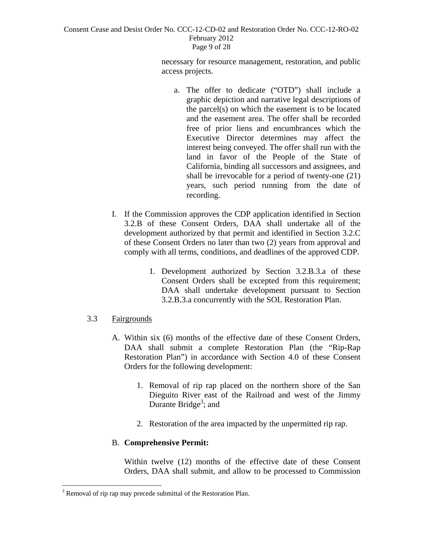#### Consent Cease and Desist Order No. CCC-12-CD-02 and Restoration Order No. CCC-12-RO-02 February 2012 Page 9 of 28

necessary for resource management, restoration, and public access projects.

- a. The offer to dedicate ("OTD") shall include a graphic depiction and narrative legal descriptions of the parcel(s) on which the easement is to be located and the easement area. The offer shall be recorded free of prior liens and encumbrances which the Executive Director determines may affect the interest being conveyed. The offer shall run with the land in favor of the People of the State of California, binding all successors and assignees, and shall be irrevocable for a period of twenty-one (21) years, such period running from the date of recording.
- I. If the Commission approves the CDP application identified in Section 3.2.B of these Consent Orders, DAA shall undertake all of the development authorized by that permit and identified in Section 3.2.C of these Consent Orders no later than two (2) years from approval and comply with all terms, conditions, and deadlines of the approved CDP.
	- 1. Development authorized by Section 3.2.B.3.a of these Consent Orders shall be excepted from this requirement; DAA shall undertake development pursuant to Section 3.2.B.3.a concurrently with the SOL Restoration Plan.

# 3.3 Fairgrounds

 $\overline{a}$ 

- A. Within six (6) months of the effective date of these Consent Orders, DAA shall submit a complete Restoration Plan (the "Rip-Rap Restoration Plan") in accordance with Section 4.0 of these Consent Orders for the following development:
	- 1. Removal of rip rap placed on the northern shore of the San Dieguito River east of the Railroad and west of the Jimmy Durante Bridge<sup>3</sup>; and
	- 2. Restoration of the area impacted by the unpermitted rip rap.

# B. **Comprehensive Permit:**

Within twelve (12) months of the effective date of these Consent Orders, DAA shall submit, and allow to be processed to Commission

 $3$  Removal of rip rap may precede submittal of the Restoration Plan.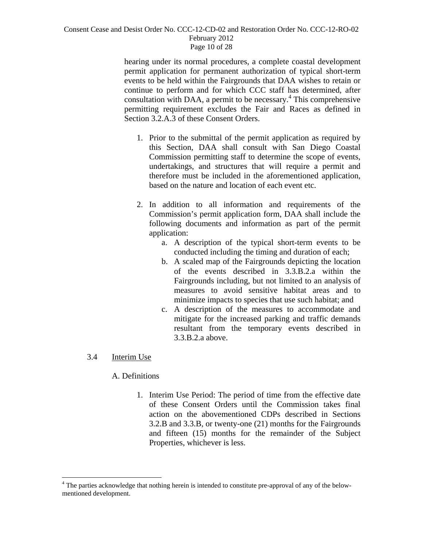#### Consent Cease and Desist Order No. CCC-12-CD-02 and Restoration Order No. CCC-12-RO-02 February 2012 Page 10 of 28

hearing under its normal procedures, a complete coastal development permit application for permanent authorization of typical short-term events to be held within the Fairgrounds that DAA wishes to retain or continue to perform and for which CCC staff has determined, after consultation with DAA, a permit to be necessary.<sup>4</sup> This comprehensive permitting requirement excludes the Fair and Races as defined in Section 3.2.A.3 of these Consent Orders.

- 1. Prior to the submittal of the permit application as required by this Section, DAA shall consult with San Diego Coastal Commission permitting staff to determine the scope of events, undertakings, and structures that will require a permit and therefore must be included in the aforementioned application, based on the nature and location of each event etc.
- 2. In addition to all information and requirements of the Commission's permit application form, DAA shall include the following documents and information as part of the permit application:
	- a. A description of the typical short-term events to be conducted including the timing and duration of each;
	- b. A scaled map of the Fairgrounds depicting the location of the events described in 3.3.B.2.a within the Fairgrounds including, but not limited to an analysis of measures to avoid sensitive habitat areas and to minimize impacts to species that use such habitat; and
	- c. A description of the measures to accommodate and mitigate for the increased parking and traffic demands resultant from the temporary events described in 3.3.B.2.a above.

# 3.4 Interim Use

1

# A. Definitions

1. Interim Use Period: The period of time from the effective date of these Consent Orders until the Commission takes final action on the abovementioned CDPs described in Sections 3.2.B and 3.3.B, or twenty-one (21) months for the Fairgrounds and fifteen (15) months for the remainder of the Subject Properties, whichever is less.

<sup>&</sup>lt;sup>4</sup> The parties acknowledge that nothing herein is intended to constitute pre-approval of any of the belowmentioned development.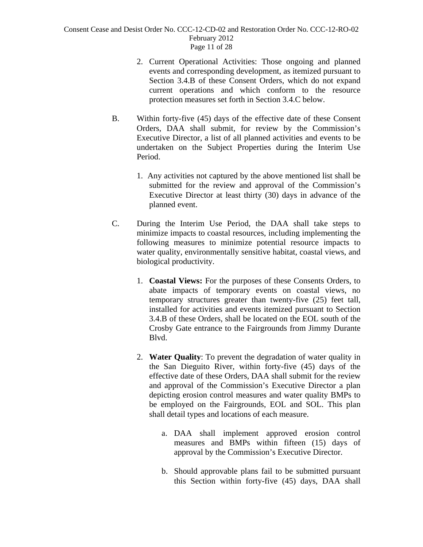#### Consent Cease and Desist Order No. CCC-12-CD-02 and Restoration Order No. CCC-12-RO-02 February 2012 Page 11 of 28

- 2. Current Operational Activities: Those ongoing and planned events and corresponding development, as itemized pursuant to Section 3.4.B of these Consent Orders, which do not expand current operations and which conform to the resource protection measures set forth in Section 3.4.C below.
- B. Within forty-five (45) days of the effective date of these Consent Orders, DAA shall submit, for review by the Commission's Executive Director, a list of all planned activities and events to be undertaken on the Subject Properties during the Interim Use Period.
	- 1. Any activities not captured by the above mentioned list shall be submitted for the review and approval of the Commission's Executive Director at least thirty (30) days in advance of the planned event.
- C. During the Interim Use Period, the DAA shall take steps to minimize impacts to coastal resources, including implementing the following measures to minimize potential resource impacts to water quality, environmentally sensitive habitat, coastal views, and biological productivity.
	- 1. **Coastal Views:** For the purposes of these Consents Orders, to abate impacts of temporary events on coastal views, no temporary structures greater than twenty-five (25) feet tall, installed for activities and events itemized pursuant to Section 3.4.B of these Orders, shall be located on the EOL south of the Crosby Gate entrance to the Fairgrounds from Jimmy Durante Blvd.
	- 2. **Water Quality**: To prevent the degradation of water quality in the San Dieguito River, within forty-five (45) days of the effective date of these Orders, DAA shall submit for the review and approval of the Commission's Executive Director a plan depicting erosion control measures and water quality BMPs to be employed on the Fairgrounds, EOL and SOL. This plan shall detail types and locations of each measure.
		- a. DAA shall implement approved erosion control measures and BMPs within fifteen (15) days of approval by the Commission's Executive Director.
		- b. Should approvable plans fail to be submitted pursuant this Section within forty-five (45) days, DAA shall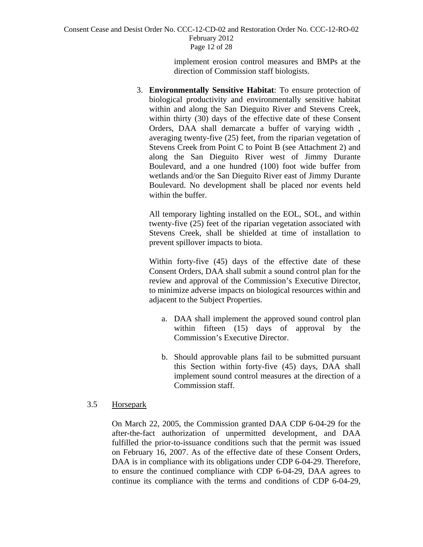Consent Cease and Desist Order No. CCC-12-CD-02 and Restoration Order No. CCC-12-RO-02 February 2012 Page 12 of 28

> implement erosion control measures and BMPs at the direction of Commission staff biologists.

3. **Environmentally Sensitive Habitat**: To ensure protection of biological productivity and environmentally sensitive habitat within and along the San Dieguito River and Stevens Creek, within thirty (30) days of the effective date of these Consent Orders, DAA shall demarcate a buffer of varying width , averaging twenty-five (25) feet, from the riparian vegetation of Stevens Creek from Point C to Point B (see Attachment 2) and along the San Dieguito River west of Jimmy Durante Boulevard, and a one hundred (100) foot wide buffer from wetlands and/or the San Dieguito River east of Jimmy Durante Boulevard. No development shall be placed nor events held within the buffer.

 All temporary lighting installed on the EOL, SOL, and within twenty-five (25) feet of the riparian vegetation associated with Stevens Creek, shall be shielded at time of installation to prevent spillover impacts to biota.

Within forty-five (45) days of the effective date of these Consent Orders, DAA shall submit a sound control plan for the review and approval of the Commission's Executive Director, to minimize adverse impacts on biological resources within and adjacent to the Subject Properties.

- a. DAA shall implement the approved sound control plan within fifteen (15) days of approval by the Commission's Executive Director.
- b. Should approvable plans fail to be submitted pursuant this Section within forty-five (45) days, DAA shall implement sound control measures at the direction of a Commission staff.

## 3.5 Horsepark

On March 22, 2005, the Commission granted DAA CDP 6-04-29 for the after-the-fact authorization of unpermitted development, and DAA fulfilled the prior-to-issuance conditions such that the permit was issued on February 16, 2007. As of the effective date of these Consent Orders, DAA is in compliance with its obligations under CDP 6-04-29. Therefore, to ensure the continued compliance with CDP 6-04-29, DAA agrees to continue its compliance with the terms and conditions of CDP 6-04-29,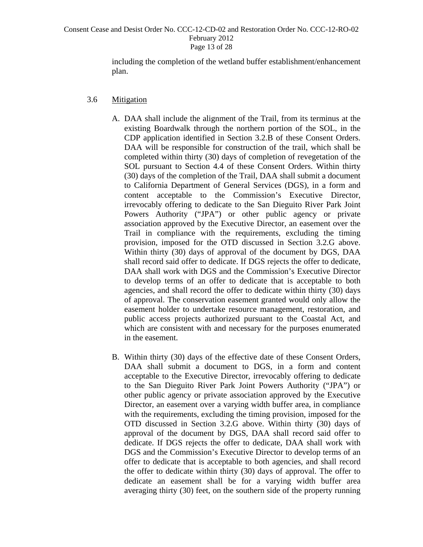#### Consent Cease and Desist Order No. CCC-12-CD-02 and Restoration Order No. CCC-12-RO-02 February 2012 Page 13 of 28

including the completion of the wetland buffer establishment/enhancement plan.

## 3.6 Mitigation

- A. DAA shall include the alignment of the Trail, from its terminus at the existing Boardwalk through the northern portion of the SOL, in the CDP application identified in Section 3.2.B of these Consent Orders. DAA will be responsible for construction of the trail, which shall be completed within thirty (30) days of completion of revegetation of the SOL pursuant to Section 4.4 of these Consent Orders. Within thirty (30) days of the completion of the Trail, DAA shall submit a document to California Department of General Services (DGS), in a form and content acceptable to the Commission's Executive Director, irrevocably offering to dedicate to the San Dieguito River Park Joint Powers Authority ("JPA") or other public agency or private association approved by the Executive Director, an easement over the Trail in compliance with the requirements, excluding the timing provision, imposed for the OTD discussed in Section 3.2.G above. Within thirty (30) days of approval of the document by DGS, DAA shall record said offer to dedicate. If DGS rejects the offer to dedicate, DAA shall work with DGS and the Commission's Executive Director to develop terms of an offer to dedicate that is acceptable to both agencies, and shall record the offer to dedicate within thirty (30) days of approval. The conservation easement granted would only allow the easement holder to undertake resource management, restoration, and public access projects authorized pursuant to the Coastal Act, and which are consistent with and necessary for the purposes enumerated in the easement.
- B. Within thirty (30) days of the effective date of these Consent Orders, DAA shall submit a document to DGS, in a form and content acceptable to the Executive Director, irrevocably offering to dedicate to the San Dieguito River Park Joint Powers Authority ("JPA") or other public agency or private association approved by the Executive Director, an easement over a varying width buffer area, in compliance with the requirements, excluding the timing provision, imposed for the OTD discussed in Section 3.2.G above. Within thirty (30) days of approval of the document by DGS, DAA shall record said offer to dedicate. If DGS rejects the offer to dedicate, DAA shall work with DGS and the Commission's Executive Director to develop terms of an offer to dedicate that is acceptable to both agencies, and shall record the offer to dedicate within thirty (30) days of approval. The offer to dedicate an easement shall be for a varying width buffer area averaging thirty (30) feet, on the southern side of the property running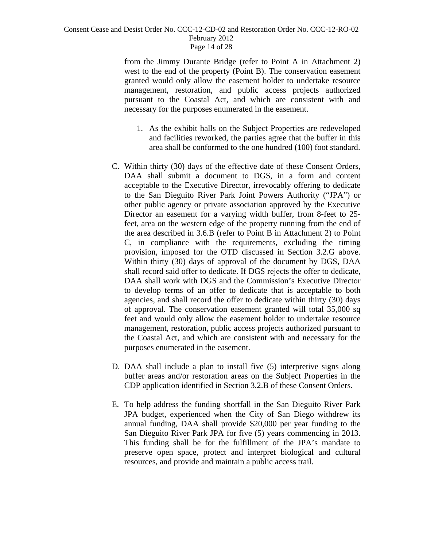#### Consent Cease and Desist Order No. CCC-12-CD-02 and Restoration Order No. CCC-12-RO-02 February 2012 Page 14 of 28

from the Jimmy Durante Bridge (refer to Point A in Attachment 2) west to the end of the property (Point B). The conservation easement granted would only allow the easement holder to undertake resource management, restoration, and public access projects authorized pursuant to the Coastal Act, and which are consistent with and necessary for the purposes enumerated in the easement.

- 1. As the exhibit halls on the Subject Properties are redeveloped and facilities reworked, the parties agree that the buffer in this area shall be conformed to the one hundred (100) foot standard.
- C. Within thirty (30) days of the effective date of these Consent Orders, DAA shall submit a document to DGS, in a form and content acceptable to the Executive Director, irrevocably offering to dedicate to the San Dieguito River Park Joint Powers Authority ("JPA") or other public agency or private association approved by the Executive Director an easement for a varying width buffer, from 8-feet to 25 feet, area on the western edge of the property running from the end of the area described in 3.6.B (refer to Point B in Attachment 2) to Point C, in compliance with the requirements, excluding the timing provision, imposed for the OTD discussed in Section 3.2.G above. Within thirty (30) days of approval of the document by DGS, DAA shall record said offer to dedicate. If DGS rejects the offer to dedicate, DAA shall work with DGS and the Commission's Executive Director to develop terms of an offer to dedicate that is acceptable to both agencies, and shall record the offer to dedicate within thirty (30) days of approval. The conservation easement granted will total 35,000 sq feet and would only allow the easement holder to undertake resource management, restoration, public access projects authorized pursuant to the Coastal Act, and which are consistent with and necessary for the purposes enumerated in the easement.
- D. DAA shall include a plan to install five (5) interpretive signs along buffer areas and/or restoration areas on the Subject Properties in the CDP application identified in Section 3.2.B of these Consent Orders.
- E. To help address the funding shortfall in the San Dieguito River Park JPA budget, experienced when the City of San Diego withdrew its annual funding, DAA shall provide \$20,000 per year funding to the San Dieguito River Park JPA for five (5) years commencing in 2013. This funding shall be for the fulfillment of the JPA's mandate to preserve open space, protect and interpret biological and cultural resources, and provide and maintain a public access trail.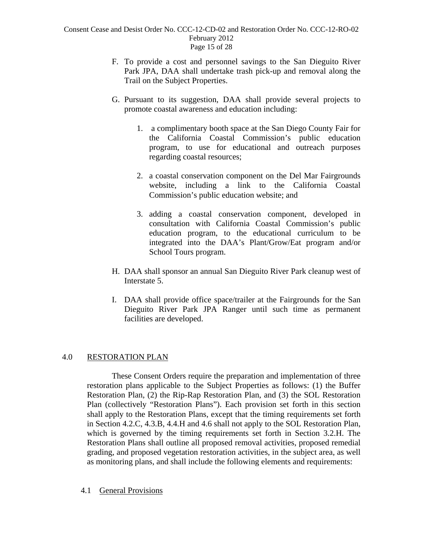- F. To provide a cost and personnel savings to the San Dieguito River Park JPA, DAA shall undertake trash pick-up and removal along the Trail on the Subject Properties.
- G. Pursuant to its suggestion, DAA shall provide several projects to promote coastal awareness and education including:
	- 1. a complimentary booth space at the San Diego County Fair for the California Coastal Commission's public education program, to use for educational and outreach purposes regarding coastal resources;
	- 2. a coastal conservation component on the Del Mar Fairgrounds website, including a link to the California Coastal Commission's public education website; and
	- 3. adding a coastal conservation component, developed in consultation with California Coastal Commission's public education program, to the educational curriculum to be integrated into the DAA's Plant/Grow/Eat program and/or School Tours program.
- H. DAA shall sponsor an annual San Dieguito River Park cleanup west of Interstate 5.
- I. DAA shall provide office space/trailer at the Fairgrounds for the San Dieguito River Park JPA Ranger until such time as permanent facilities are developed.

## 4.0 RESTORATION PLAN

 These Consent Orders require the preparation and implementation of three restoration plans applicable to the Subject Properties as follows: (1) the Buffer Restoration Plan, (2) the Rip-Rap Restoration Plan, and (3) the SOL Restoration Plan (collectively "Restoration Plans"). Each provision set forth in this section shall apply to the Restoration Plans, except that the timing requirements set forth in Section 4.2.C, 4.3.B, 4.4.H and 4.6 shall not apply to the SOL Restoration Plan, which is governed by the timing requirements set forth in Section 3.2.H. The Restoration Plans shall outline all proposed removal activities, proposed remedial grading, and proposed vegetation restoration activities, in the subject area, as well as monitoring plans, and shall include the following elements and requirements:

## 4.1 General Provisions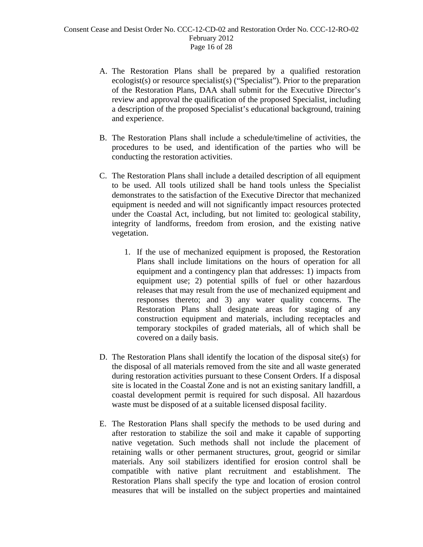- A. The Restoration Plans shall be prepared by a qualified restoration ecologist(s) or resource specialist(s) ("Specialist"). Prior to the preparation of the Restoration Plans, DAA shall submit for the Executive Director's review and approval the qualification of the proposed Specialist, including a description of the proposed Specialist's educational background, training and experience.
- B. The Restoration Plans shall include a schedule/timeline of activities, the procedures to be used, and identification of the parties who will be conducting the restoration activities.
- C. The Restoration Plans shall include a detailed description of all equipment to be used. All tools utilized shall be hand tools unless the Specialist demonstrates to the satisfaction of the Executive Director that mechanized equipment is needed and will not significantly impact resources protected under the Coastal Act, including, but not limited to: geological stability, integrity of landforms, freedom from erosion, and the existing native vegetation.
	- 1. If the use of mechanized equipment is proposed, the Restoration Plans shall include limitations on the hours of operation for all equipment and a contingency plan that addresses:  $\overline{1}$ ) impacts from equipment use; 2) potential spills of fuel or other hazardous releases that may result from the use of mechanized equipment and responses thereto; and 3) any water quality concerns. The Restoration Plans shall designate areas for staging of any construction equipment and materials, including receptacles and temporary stockpiles of graded materials, all of which shall be covered on a daily basis.
- D. The Restoration Plans shall identify the location of the disposal site(s) for the disposal of all materials removed from the site and all waste generated during restoration activities pursuant to these Consent Orders. If a disposal site is located in the Coastal Zone and is not an existing sanitary landfill, a coastal development permit is required for such disposal. All hazardous waste must be disposed of at a suitable licensed disposal facility.
- E. The Restoration Plans shall specify the methods to be used during and after restoration to stabilize the soil and make it capable of supporting native vegetation. Such methods shall not include the placement of retaining walls or other permanent structures, grout, geogrid or similar materials. Any soil stabilizers identified for erosion control shall be compatible with native plant recruitment and establishment. The Restoration Plans shall specify the type and location of erosion control measures that will be installed on the subject properties and maintained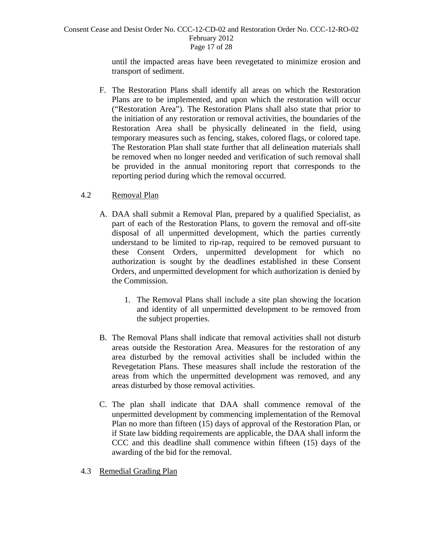#### Consent Cease and Desist Order No. CCC-12-CD-02 and Restoration Order No. CCC-12-RO-02 February 2012 Page 17 of 28

until the impacted areas have been revegetated to minimize erosion and transport of sediment.

F. The Restoration Plans shall identify all areas on which the Restoration Plans are to be implemented, and upon which the restoration will occur ("Restoration Area"). The Restoration Plans shall also state that prior to the initiation of any restoration or removal activities, the boundaries of the Restoration Area shall be physically delineated in the field, using temporary measures such as fencing, stakes, colored flags, or colored tape. The Restoration Plan shall state further that all delineation materials shall be removed when no longer needed and verification of such removal shall be provided in the annual monitoring report that corresponds to the reporting period during which the removal occurred.

## 4.2Removal Plan

- A. DAA shall submit a Removal Plan, prepared by a qualified Specialist, as part of each of the Restoration Plans, to govern the removal and off-site disposal of all unpermitted development, which the parties currently understand to be limited to rip-rap, required to be removed pursuant to these Consent Orders, unpermitted development for which no authorization is sought by the deadlines established in these Consent Orders, and unpermitted development for which authorization is denied by the Commission.
	- 1. The Removal Plans shall include a site plan showing the location and identity of all unpermitted development to be removed from the subject properties.
- B. The Removal Plans shall indicate that removal activities shall not disturb areas outside the Restoration Area. Measures for the restoration of any area disturbed by the removal activities shall be included within the Revegetation Plans. These measures shall include the restoration of the areas from which the unpermitted development was removed, and any areas disturbed by those removal activities.
- C. The plan shall indicate that DAA shall commence removal of the unpermitted development by commencing implementation of the Removal Plan no more than fifteen (15) days of approval of the Restoration Plan, or if State law bidding requirements are applicable, the DAA shall inform the CCC and this deadline shall commence within fifteen (15) days of the awarding of the bid for the removal.
- 4.3 Remedial Grading Plan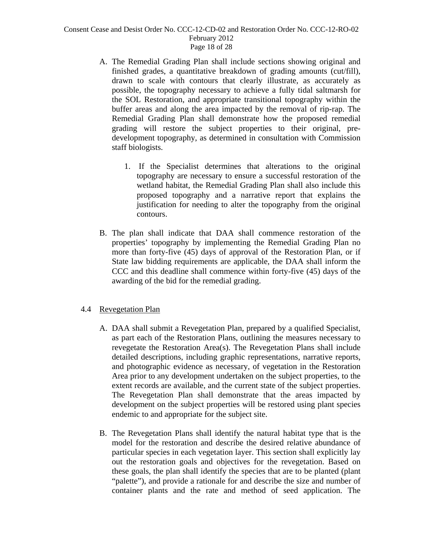#### Consent Cease and Desist Order No. CCC-12-CD-02 and Restoration Order No. CCC-12-RO-02 February 2012 Page 18 of 28

- A. The Remedial Grading Plan shall include sections showing original and finished grades, a quantitative breakdown of grading amounts (cut/fill), drawn to scale with contours that clearly illustrate, as accurately as possible, the topography necessary to achieve a fully tidal saltmarsh for the SOL Restoration, and appropriate transitional topography within the buffer areas and along the area impacted by the removal of rip-rap. The Remedial Grading Plan shall demonstrate how the proposed remedial grading will restore the subject properties to their original, predevelopment topography, as determined in consultation with Commission staff biologists.
	- 1. If the Specialist determines that alterations to the original topography are necessary to ensure a successful restoration of the wetland habitat, the Remedial Grading Plan shall also include this proposed topography and a narrative report that explains the justification for needing to alter the topography from the original contours.
- B. The plan shall indicate that DAA shall commence restoration of the properties' topography by implementing the Remedial Grading Plan no more than forty-five (45) days of approval of the Restoration Plan, or if State law bidding requirements are applicable, the DAA shall inform the CCC and this deadline shall commence within forty-five (45) days of the awarding of the bid for the remedial grading.

## 4.4 Revegetation Plan

- A. DAA shall submit a Revegetation Plan, prepared by a qualified Specialist, as part each of the Restoration Plans, outlining the measures necessary to revegetate the Restoration Area(s). The Revegetation Plans shall include detailed descriptions, including graphic representations, narrative reports, and photographic evidence as necessary, of vegetation in the Restoration Area prior to any development undertaken on the subject properties, to the extent records are available, and the current state of the subject properties. The Revegetation Plan shall demonstrate that the areas impacted by development on the subject properties will be restored using plant species endemic to and appropriate for the subject site.
- B. The Revegetation Plans shall identify the natural habitat type that is the model for the restoration and describe the desired relative abundance of particular species in each vegetation layer. This section shall explicitly lay out the restoration goals and objectives for the revegetation. Based on these goals, the plan shall identify the species that are to be planted (plant "palette"), and provide a rationale for and describe the size and number of container plants and the rate and method of seed application. The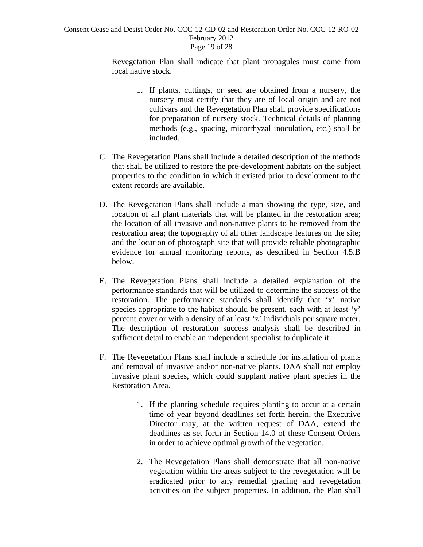#### Consent Cease and Desist Order No. CCC-12-CD-02 and Restoration Order No. CCC-12-RO-02 February 2012 Page 19 of 28

Revegetation Plan shall indicate that plant propagules must come from local native stock.

- 1. If plants, cuttings, or seed are obtained from a nursery, the nursery must certify that they are of local origin and are not cultivars and the Revegetation Plan shall provide specifications for preparation of nursery stock. Technical details of planting methods (e.g., spacing, micorrhyzal inoculation, etc.) shall be included.
- C. The Revegetation Plans shall include a detailed description of the methods that shall be utilized to restore the pre-development habitats on the subject properties to the condition in which it existed prior to development to the extent records are available.
- D. The Revegetation Plans shall include a map showing the type, size, and location of all plant materials that will be planted in the restoration area; the location of all invasive and non-native plants to be removed from the restoration area; the topography of all other landscape features on the site; and the location of photograph site that will provide reliable photographic evidence for annual monitoring reports, as described in Section 4.5.B below.
- E. The Revegetation Plans shall include a detailed explanation of the performance standards that will be utilized to determine the success of the restoration. The performance standards shall identify that 'x' native species appropriate to the habitat should be present, each with at least 'y' percent cover or with a density of at least 'z' individuals per square meter. The description of restoration success analysis shall be described in sufficient detail to enable an independent specialist to duplicate it.
- F. The Revegetation Plans shall include a schedule for installation of plants and removal of invasive and/or non-native plants. DAA shall not employ invasive plant species, which could supplant native plant species in the Restoration Area.
	- 1. If the planting schedule requires planting to occur at a certain time of year beyond deadlines set forth herein, the Executive Director may, at the written request of DAA, extend the deadlines as set forth in Section 14.0 of these Consent Orders in order to achieve optimal growth of the vegetation.
	- 2. The Revegetation Plans shall demonstrate that all non-native vegetation within the areas subject to the revegetation will be eradicated prior to any remedial grading and revegetation activities on the subject properties. In addition, the Plan shall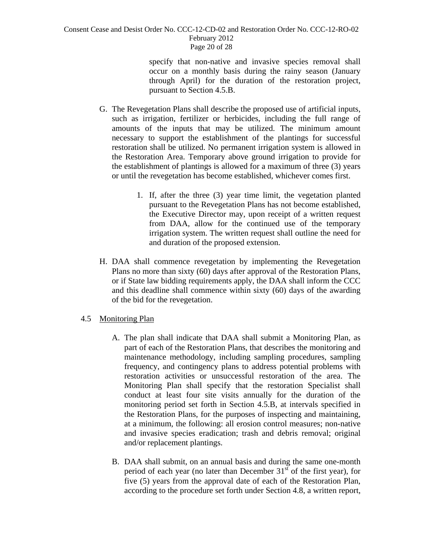#### Consent Cease and Desist Order No. CCC-12-CD-02 and Restoration Order No. CCC-12-RO-02 February 2012 Page 20 of 28

specify that non-native and invasive species removal shall occur on a monthly basis during the rainy season (January through April) for the duration of the restoration project, pursuant to Section 4.5.B.

- G. The Revegetation Plans shall describe the proposed use of artificial inputs, such as irrigation, fertilizer or herbicides, including the full range of amounts of the inputs that may be utilized. The minimum amount necessary to support the establishment of the plantings for successful restoration shall be utilized. No permanent irrigation system is allowed in the Restoration Area. Temporary above ground irrigation to provide for the establishment of plantings is allowed for a maximum of three (3) years or until the revegetation has become established, whichever comes first.
	- 1. If, after the three (3) year time limit, the vegetation planted pursuant to the Revegetation Plans has not become established, the Executive Director may, upon receipt of a written request from DAA, allow for the continued use of the temporary irrigation system. The written request shall outline the need for and duration of the proposed extension.
- H. DAA shall commence revegetation by implementing the Revegetation Plans no more than sixty (60) days after approval of the Restoration Plans, or if State law bidding requirements apply, the DAA shall inform the CCC and this deadline shall commence within sixty (60) days of the awarding of the bid for the revegetation.

## 4.5 Monitoring Plan

- A. The plan shall indicate that DAA shall submit a Monitoring Plan, as part of each of the Restoration Plans, that describes the monitoring and maintenance methodology, including sampling procedures, sampling frequency, and contingency plans to address potential problems with restoration activities or unsuccessful restoration of the area. The Monitoring Plan shall specify that the restoration Specialist shall conduct at least four site visits annually for the duration of the monitoring period set forth in Section 4.5.B, at intervals specified in the Restoration Plans, for the purposes of inspecting and maintaining, at a minimum, the following: all erosion control measures; non-native and invasive species eradication; trash and debris removal; original and/or replacement plantings.
- B. DAA shall submit, on an annual basis and during the same one-month period of each year (no later than December  $31<sup>st</sup>$  of the first year), for five (5) years from the approval date of each of the Restoration Plan, according to the procedure set forth under Section 4.8, a written report,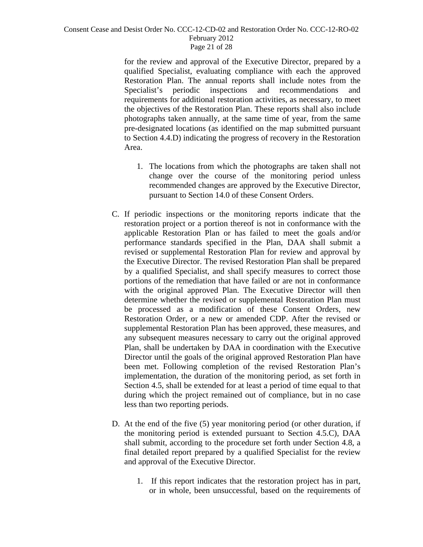#### Consent Cease and Desist Order No. CCC-12-CD-02 and Restoration Order No. CCC-12-RO-02 February 2012 Page 21 of 28

for the review and approval of the Executive Director, prepared by a qualified Specialist, evaluating compliance with each the approved Restoration Plan. The annual reports shall include notes from the Specialist's periodic inspections and recommendations and requirements for additional restoration activities, as necessary, to meet the objectives of the Restoration Plan. These reports shall also include photographs taken annually, at the same time of year, from the same pre-designated locations (as identified on the map submitted pursuant to Section 4.4.D) indicating the progress of recovery in the Restoration Area.

- 1. The locations from which the photographs are taken shall not change over the course of the monitoring period unless recommended changes are approved by the Executive Director, pursuant to Section 14.0 of these Consent Orders.
- C. If periodic inspections or the monitoring reports indicate that the restoration project or a portion thereof is not in conformance with the applicable Restoration Plan or has failed to meet the goals and/or performance standards specified in the Plan, DAA shall submit a revised or supplemental Restoration Plan for review and approval by the Executive Director. The revised Restoration Plan shall be prepared by a qualified Specialist, and shall specify measures to correct those portions of the remediation that have failed or are not in conformance with the original approved Plan. The Executive Director will then determine whether the revised or supplemental Restoration Plan must be processed as a modification of these Consent Orders, new Restoration Order, or a new or amended CDP. After the revised or supplemental Restoration Plan has been approved, these measures, and any subsequent measures necessary to carry out the original approved Plan, shall be undertaken by DAA in coordination with the Executive Director until the goals of the original approved Restoration Plan have been met. Following completion of the revised Restoration Plan's implementation, the duration of the monitoring period, as set forth in Section 4.5, shall be extended for at least a period of time equal to that during which the project remained out of compliance, but in no case less than two reporting periods.
- D. At the end of the five (5) year monitoring period (or other duration, if the monitoring period is extended pursuant to Section 4.5.C), DAA shall submit, according to the procedure set forth under Section 4.8, a final detailed report prepared by a qualified Specialist for the review and approval of the Executive Director.
	- 1. If this report indicates that the restoration project has in part, or in whole, been unsuccessful, based on the requirements of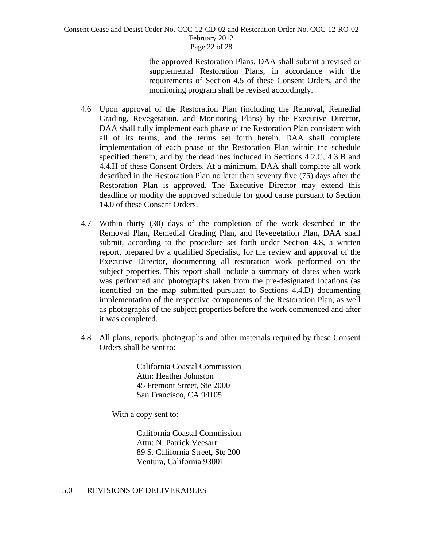#### Consent Cease and Desist Order No. CCC-12-CD-02 and Restoration Order No. CCC-12-RO-02 February 2012 Page 22 of 28

the approved Restoration Plans, DAA shall submit a revised or supplemental Restoration Plans, in accordance with the requirements of Section 4.5 of these Consent Orders, and the monitoring program shall be revised accordingly.

- 4.6 Upon approval of the Restoration Plan (including the Removal, Remedial Grading, Revegetation, and Monitoring Plans) by the Executive Director, DAA shall fully implement each phase of the Restoration Plan consistent with all of its terms, and the terms set forth herein. DAA shall complete implementation of each phase of the Restoration Plan within the schedule specified therein, and by the deadlines included in Sections 4.2.C, 4.3.B and 4.4.H of these Consent Orders. At a minimum, DAA shall complete all work described in the Restoration Plan no later than seventy five (75) days after the Restoration Plan is approved. The Executive Director may extend this deadline or modify the approved schedule for good cause pursuant to Section 14.0 of these Consent Orders.
- 4.7 Within thirty (30) days of the completion of the work described in the Removal Plan, Remedial Grading Plan, and Revegetation Plan, DAA shall submit, according to the procedure set forth under Section 4.8, a written report, prepared by a qualified Specialist, for the review and approval of the Executive Director, documenting all restoration work performed on the subject properties. This report shall include a summary of dates when work was performed and photographs taken from the pre-designated locations (as identified on the map submitted pursuant to Sections 4.4.D) documenting implementation of the respective components of the Restoration Plan, as well as photographs of the subject properties before the work commenced and after it was completed.
- 4.8 All plans, reports, photographs and other materials required by these Consent Orders shall be sent to:

California Coastal Commission Attn: Heather Johnston 45 Fremont Street, Ste 2000 San Francisco, CA 94105

With a copy sent to:

 California Coastal Commission Attn: N. Patrick Veesart 89 S. California Street, Ste 200 Ventura, California 93001

## 5.0 REVISIONS OF DELIVERABLES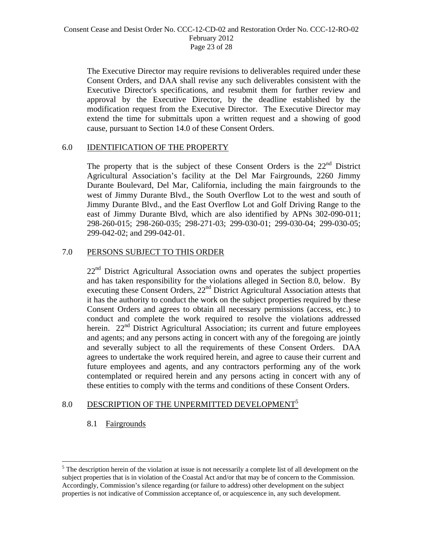The Executive Director may require revisions to deliverables required under these Consent Orders, and DAA shall revise any such deliverables consistent with the Executive Director's specifications, and resubmit them for further review and approval by the Executive Director, by the deadline established by the modification request from the Executive Director. The Executive Director may extend the time for submittals upon a written request and a showing of good cause, pursuant to Section 14.0 of these Consent Orders.

## 6.0 IDENTIFICATION OF THE PROPERTY

The property that is the subject of these Consent Orders is the  $22<sup>nd</sup>$  District Agricultural Association's facility at the Del Mar Fairgrounds, 2260 Jimmy Durante Boulevard, Del Mar, California, including the main fairgrounds to the west of Jimmy Durante Blvd., the South Overflow Lot to the west and south of Jimmy Durante Blvd., and the East Overflow Lot and Golf Driving Range to the east of Jimmy Durante Blvd, which are also identified by APNs 302-090-011; 298-260-015; 298-260-035; 298-271-03; 299-030-01; 299-030-04; 299-030-05; 299-042-02; and 299-042-01.

## 7.0 PERSONS SUBJECT TO THIS ORDER

22<sup>nd</sup> District Agricultural Association owns and operates the subject properties and has taken responsibility for the violations alleged in Section 8.0, below. By executing these Consent Orders, 22<sup>nd</sup> District Agricultural Association attests that it has the authority to conduct the work on the subject properties required by these Consent Orders and agrees to obtain all necessary permissions (access, etc.) to conduct and complete the work required to resolve the violations addressed herein.  $22<sup>nd</sup>$  District Agricultural Association; its current and future employees and agents; and any persons acting in concert with any of the foregoing are jointly and severally subject to all the requirements of these Consent Orders. DAA agrees to undertake the work required herein, and agree to cause their current and future employees and agents, and any contractors performing any of the work contemplated or required herein and any persons acting in concert with any of these entities to comply with the terms and conditions of these Consent Orders.

# 8.0 DESCRIPTION OF THE UNPERMITTED DEVELOPMENT<sup>5</sup>

## 8.1 Fairgrounds

 $\overline{a}$ 

 $<sup>5</sup>$  The description herein of the violation at issue is not necessarily a complete list of all development on the</sup> subject properties that is in violation of the Coastal Act and/or that may be of concern to the Commission. Accordingly, Commission's silence regarding (or failure to address) other development on the subject properties is not indicative of Commission acceptance of, or acquiescence in, any such development.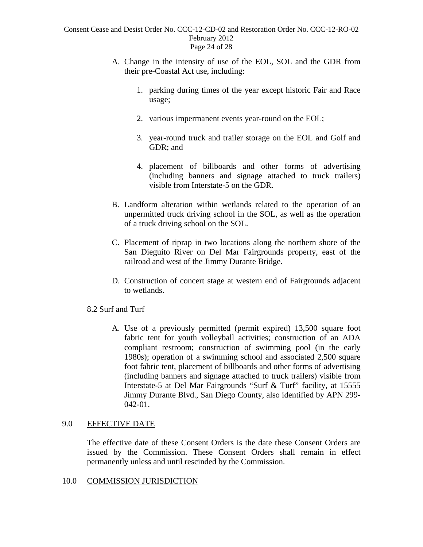#### Consent Cease and Desist Order No. CCC-12-CD-02 and Restoration Order No. CCC-12-RO-02 February 2012 Page 24 of 28

- A. Change in the intensity of use of the EOL, SOL and the GDR from their pre-Coastal Act use, including:
	- 1. parking during times of the year except historic Fair and Race usage;
	- 2. various impermanent events year-round on the EOL;
	- 3. year-round truck and trailer storage on the EOL and Golf and GDR; and
	- 4. placement of billboards and other forms of advertising (including banners and signage attached to truck trailers) visible from Interstate-5 on the GDR.
- B. Landform alteration within wetlands related to the operation of an unpermitted truck driving school in the SOL, as well as the operation of a truck driving school on the SOL.
- C. Placement of riprap in two locations along the northern shore of the San Dieguito River on Del Mar Fairgrounds property, east of the railroad and west of the Jimmy Durante Bridge.
- D. Construction of concert stage at western end of Fairgrounds adjacent to wetlands.

## 8.2 Surf and Turf

A. Use of a previously permitted (permit expired) 13,500 square foot fabric tent for youth volleyball activities; construction of an ADA compliant restroom; construction of swimming pool (in the early 1980s); operation of a swimming school and associated 2,500 square foot fabric tent, placement of billboards and other forms of advertising (including banners and signage attached to truck trailers) visible from Interstate-5 at Del Mar Fairgrounds "Surf & Turf" facility, at 15555 Jimmy Durante Blvd., San Diego County, also identified by APN 299- 042-01.

# 9.0 EFFECTIVE DATE

The effective date of these Consent Orders is the date these Consent Orders are issued by the Commission. These Consent Orders shall remain in effect permanently unless and until rescinded by the Commission.

## 10.0 COMMISSION JURISDICTION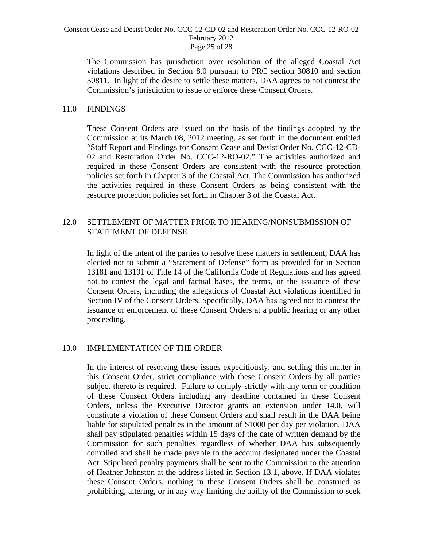#### Consent Cease and Desist Order No. CCC-12-CD-02 and Restoration Order No. CCC-12-RO-02 February 2012 Page 25 of 28

The Commission has jurisdiction over resolution of the alleged Coastal Act violations described in Section 8.0 pursuant to PRC section 30810 and section 30811. In light of the desire to settle these matters, DAA agrees to not contest the Commission's jurisdiction to issue or enforce these Consent Orders.

## 11.0 FINDINGS

These Consent Orders are issued on the basis of the findings adopted by the Commission at its March 08, 2012 meeting, as set forth in the document entitled "Staff Report and Findings for Consent Cease and Desist Order No. CCC-12-CD-02 and Restoration Order No. CCC-12-RO-02." The activities authorized and required in these Consent Orders are consistent with the resource protection policies set forth in Chapter 3 of the Coastal Act. The Commission has authorized the activities required in these Consent Orders as being consistent with the resource protection policies set forth in Chapter 3 of the Coastal Act.

# 12.0 SETTLEMENT OF MATTER PRIOR TO HEARING/NONSUBMISSION OF STATEMENT OF DEFENSE

 In light of the intent of the parties to resolve these matters in settlement, DAA has elected not to submit a "Statement of Defense" form as provided for in Section 13181 and 13191 of Title 14 of the California Code of Regulations and has agreed not to contest the legal and factual bases, the terms, or the issuance of these Consent Orders, including the allegations of Coastal Act violations identified in Section IV of the Consent Orders. Specifically, DAA has agreed not to contest the issuance or enforcement of these Consent Orders at a public hearing or any other proceeding.

## 13.0 IMPLEMENTATION OF THE ORDER

In the interest of resolving these issues expeditiously, and settling this matter in this Consent Order, strict compliance with these Consent Orders by all parties subject thereto is required. Failure to comply strictly with any term or condition of these Consent Orders including any deadline contained in these Consent Orders, unless the Executive Director grants an extension under 14.0, will constitute a violation of these Consent Orders and shall result in the DAA being liable for stipulated penalties in the amount of \$1000 per day per violation. DAA shall pay stipulated penalties within 15 days of the date of written demand by the Commission for such penalties regardless of whether DAA has subsequently complied and shall be made payable to the account designated under the Coastal Act. Stipulated penalty payments shall be sent to the Commission to the attention of Heather Johnston at the address listed in Section 13.1, above. If DAA violates these Consent Orders, nothing in these Consent Orders shall be construed as prohibiting, altering, or in any way limiting the ability of the Commission to seek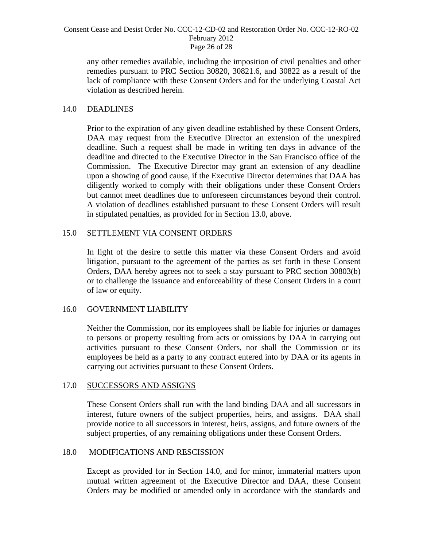#### Consent Cease and Desist Order No. CCC-12-CD-02 and Restoration Order No. CCC-12-RO-02 February 2012 Page 26 of 28

any other remedies available, including the imposition of civil penalties and other remedies pursuant to PRC Section 30820, 30821.6, and 30822 as a result of the lack of compliance with these Consent Orders and for the underlying Coastal Act violation as described herein.

## 14.0 DEADLINES

Prior to the expiration of any given deadline established by these Consent Orders, DAA may request from the Executive Director an extension of the unexpired deadline. Such a request shall be made in writing ten days in advance of the deadline and directed to the Executive Director in the San Francisco office of the Commission. The Executive Director may grant an extension of any deadline upon a showing of good cause, if the Executive Director determines that DAA has diligently worked to comply with their obligations under these Consent Orders but cannot meet deadlines due to unforeseen circumstances beyond their control. A violation of deadlines established pursuant to these Consent Orders will result in stipulated penalties, as provided for in Section 13.0, above.

## 15.0 SETTLEMENT VIA CONSENT ORDERS

In light of the desire to settle this matter via these Consent Orders and avoid litigation, pursuant to the agreement of the parties as set forth in these Consent Orders, DAA hereby agrees not to seek a stay pursuant to PRC section 30803(b) or to challenge the issuance and enforceability of these Consent Orders in a court of law or equity.

#### 16.0 GOVERNMENT LIABILITY

Neither the Commission, nor its employees shall be liable for injuries or damages to persons or property resulting from acts or omissions by DAA in carrying out activities pursuant to these Consent Orders, nor shall the Commission or its employees be held as a party to any contract entered into by DAA or its agents in carrying out activities pursuant to these Consent Orders.

#### 17.0 SUCCESSORS AND ASSIGNS

These Consent Orders shall run with the land binding DAA and all successors in interest, future owners of the subject properties, heirs, and assigns. DAA shall provide notice to all successors in interest, heirs, assigns, and future owners of the subject properties, of any remaining obligations under these Consent Orders.

## 18.0 MODIFICATIONS AND RESCISSION

Except as provided for in Section 14.0, and for minor, immaterial matters upon mutual written agreement of the Executive Director and DAA, these Consent Orders may be modified or amended only in accordance with the standards and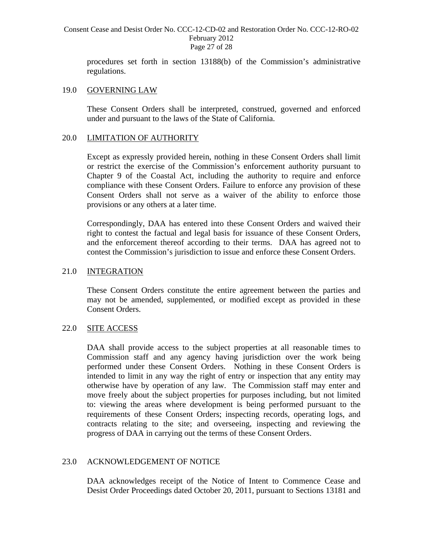#### Consent Cease and Desist Order No. CCC-12-CD-02 and Restoration Order No. CCC-12-RO-02 February 2012 Page 27 of 28

procedures set forth in section 13188(b) of the Commission's administrative regulations.

#### 19.0 GOVERNING LAW

These Consent Orders shall be interpreted, construed, governed and enforced under and pursuant to the laws of the State of California.

#### 20.0 LIMITATION OF AUTHORITY

Except as expressly provided herein, nothing in these Consent Orders shall limit or restrict the exercise of the Commission's enforcement authority pursuant to Chapter 9 of the Coastal Act, including the authority to require and enforce compliance with these Consent Orders. Failure to enforce any provision of these Consent Orders shall not serve as a waiver of the ability to enforce those provisions or any others at a later time.

Correspondingly, DAA has entered into these Consent Orders and waived their right to contest the factual and legal basis for issuance of these Consent Orders, and the enforcement thereof according to their terms. DAA has agreed not to contest the Commission's jurisdiction to issue and enforce these Consent Orders.

## 21.0 INTEGRATION

These Consent Orders constitute the entire agreement between the parties and may not be amended, supplemented, or modified except as provided in these Consent Orders.

## 22.0 SITE ACCESS

DAA shall provide access to the subject properties at all reasonable times to Commission staff and any agency having jurisdiction over the work being performed under these Consent Orders. Nothing in these Consent Orders is intended to limit in any way the right of entry or inspection that any entity may otherwise have by operation of any law. The Commission staff may enter and move freely about the subject properties for purposes including, but not limited to: viewing the areas where development is being performed pursuant to the requirements of these Consent Orders; inspecting records, operating logs, and contracts relating to the site; and overseeing, inspecting and reviewing the progress of DAA in carrying out the terms of these Consent Orders.

#### 23.0 ACKNOWLEDGEMENT OF NOTICE

 DAA acknowledges receipt of the Notice of Intent to Commence Cease and Desist Order Proceedings dated October 20, 2011, pursuant to Sections 13181 and